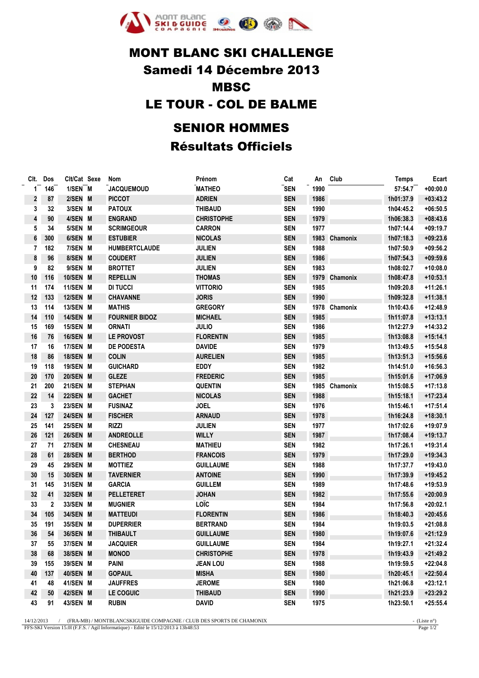

## MONT BLANC SKI CHALLENGE Samedi 14 Décembre 2013 MBSC LE TOUR - COL DE BALME SENIOR HOMMES

## Résultats Officiels

|              | Clt. Dos         | Clt/Cat Sexe | Nom                   | Prénom            | Cat        | An   | Club          | <b>Temps</b> | Ecart      |
|--------------|------------------|--------------|-----------------------|-------------------|------------|------|---------------|--------------|------------|
| $\mathbf{1}$ | 146              | 1/SEN M      | <b>JACQUEMOUD</b>     | <b>MATHEO</b>     | <b>SEN</b> | 1990 |               | 57:54.7      | $+00:00.0$ |
| 2            | 87               | 2/SEN M      | <b>PICCOT</b>         | <b>ADRIEN</b>     | <b>SEN</b> | 1986 |               | 1h01:37.9    | $+03:43.2$ |
| 3            | 32               | 3/SEN M      | <b>PATOUX</b>         | <b>THIBAUD</b>    | <b>SEN</b> | 1990 |               | 1h04:45.2    | $+06:50.5$ |
| 4            | 90               | 4/SEN M      | <b>ENGRAND</b>        | <b>CHRISTOPHE</b> | <b>SEN</b> | 1979 |               | 1h06:38.3    | $+08:43.6$ |
| 5            | 34               | 5/SEN M      | <b>SCRIMGEOUR</b>     | <b>CARRON</b>     | <b>SEN</b> | 1977 |               | 1h07:14.4    | $+09:19.7$ |
| 6            | 300              | 6/SEN M      | <b>ESTUBIER</b>       | <b>NICOLAS</b>    | <b>SEN</b> |      | 1983 Chamonix | 1h07:18.3    | $+09:23.6$ |
| 7            | 182              | 7/SEN M      | <b>HUMBERTCLAUDE</b>  | <b>JULIEN</b>     | <b>SEN</b> | 1988 |               | 1h07:50.9    | $+09:56.2$ |
| 8            | 96               | 8/SEN M      | <b>COUDERT</b>        | <b>JULIEN</b>     | <b>SEN</b> | 1986 |               | 1h07:54.3    | $+09:59.6$ |
| 9            | 82               | 9/SEN M      | <b>BROTTET</b>        | <b>JULIEN</b>     | <b>SEN</b> | 1983 |               | 1h08:02.7    | $+10:08.0$ |
| 10           | 116              | 10/SEN M     | <b>REPELLIN</b>       | <b>THOMAS</b>     | <b>SEN</b> |      | 1979 Chamonix | 1h08:47.8    | $+10:53.1$ |
| 11           | 174              | 11/SEN M     | <b>DI TUCCI</b>       | <b>VITTORIO</b>   | <b>SEN</b> | 1985 |               | 1h09:20.8    | $+11:26.1$ |
| 12           | 133              | 12/SEN M     | <b>CHAVANNE</b>       | <b>JORIS</b>      | <b>SEN</b> | 1990 |               | 1h09:32.8    | $+11:38.1$ |
| 13           | 114              | 13/SEN M     | <b>MATHIS</b>         | <b>GREGORY</b>    | <b>SEN</b> |      | 1978 Chamonix | 1h10:43.6    | +12:48.9   |
| 14           | 110              | 14/SEN M     | <b>FOURNIER BIDOZ</b> | <b>MICHAEL</b>    | <b>SEN</b> | 1985 |               | 1h11:07.8    | $+13:13.1$ |
| 15           | 169              | 15/SEN M     | <b>ORNATI</b>         | <b>JULIO</b>      | <b>SEN</b> | 1986 |               | 1h12:27.9    | $+14:33.2$ |
| 16           | 76               | 16/SEN M     | <b>LE PROVOST</b>     | <b>FLORENTIN</b>  | <b>SEN</b> | 1985 |               | 1h13:08.8    | $+15:14.1$ |
| 17           | 16               | 17/SEN M     | <b>DE PODESTA</b>     | <b>DAVIDE</b>     | <b>SEN</b> | 1979 |               | 1h13:49.5    | $+15:54.8$ |
| 18           | 86               | 18/SEN M     | <b>COLIN</b>          | <b>AURELIEN</b>   | <b>SEN</b> | 1985 |               | 1h13:51.3    | $+15:56.6$ |
| 19           | 118              | 19/SEN M     | <b>GUICHARD</b>       | EDDY              | <b>SEN</b> | 1982 |               | 1h14:51.0    | $+16:56.3$ |
| 20           | 170              | 20/SEN M     | <b>GLEZE</b>          | <b>FREDERIC</b>   | <b>SEN</b> | 1985 |               | 1h15:01.6    | $+17:06.9$ |
| 21           | 200              | 21/SEN M     | <b>STEPHAN</b>        | <b>QUENTIN</b>    | <b>SEN</b> |      | 1985 Chamonix | 1h15:08.5    | $+17:13.8$ |
| 22           | 14               | 22/SEN M     | <b>GACHET</b>         | <b>NICOLAS</b>    | <b>SEN</b> | 1988 |               | 1h15:18.1    | $+17:23.4$ |
| 23           | 3                | 23/SEN M     | <b>FUSINAZ</b>        | <b>JOEL</b>       | <b>SEN</b> | 1976 |               | 1h15:46.1    | $+17:51.4$ |
| 24           | 127              | 24/SEN M     | <b>FISCHER</b>        | ARNAUD            | <b>SEN</b> | 1978 |               | 1h16:24.8    | $+18:30.1$ |
| 25           | 141              | 25/SEN M     | <b>RIZZI</b>          | <b>JULIEN</b>     | <b>SEN</b> | 1977 |               | 1h17:02.6    | +19:07.9   |
| 26           | 121              | 26/SEN M     | <b>ANDREOLLE</b>      | <b>WILLY</b>      | <b>SEN</b> | 1987 |               | 1h17:08.4    | $+19:13.7$ |
| 27           | 71               | 27/SEN M     | CHESNEAU              | <b>MATHIEU</b>    | <b>SEN</b> | 1982 |               | 1h17:26.1    | +19:31.4   |
| 28           | 61               | 28/SEN M     | <b>BERTHOD</b>        | <b>FRANCOIS</b>   | <b>SEN</b> | 1979 |               | 1h17:29.0    | $+19:34.3$ |
| 29           | 45               | 29/SEN M     | <b>MOTTIEZ</b>        | <b>GUILLAUME</b>  | <b>SEN</b> | 1988 |               | 1h17:37.7    | $+19:43.0$ |
| 30           | 15               | 30/SEN M     | <b>TAVERNIER</b>      | <b>ANTOINE</b>    | <b>SEN</b> | 1990 |               | 1h17:39.9    | $+19:45.2$ |
| 31           | 145              | 31/SEN M     | <b>GARCIA</b>         | <b>GUILLEM</b>    | <b>SEN</b> | 1989 |               | 1h17:48.6    | +19:53.9   |
| 32           | 41               | 32/SEN M     | PELLETERET            | <b>JOHAN</b>      | <b>SEN</b> | 1982 |               | 1h17:55.6    | $+20:00.9$ |
| 33           | $\boldsymbol{2}$ | 33/SEN M     | <b>MUGNIER</b>        | LOÏC              | <b>SEN</b> | 1984 |               | 1h17:56.8    | $+20:02.1$ |
| 34           | 105              | 34/SEN M     | <b>MATTEUDI</b>       | <b>FLORENTIN</b>  | <b>SEN</b> | 1986 |               | 1h18:40.3    | $+20:45.6$ |
| 35           | 191              | 35/SEN M     | <b>DUPERRIER</b>      | <b>BERTRAND</b>   | <b>SEN</b> | 1984 |               | 1h19:03.5    | $+21:08.8$ |
| ${\bf 36}$   | 54               | 36/SEN M     | <b>THIBAULT</b>       | <b>GUILLAUME</b>  | <b>SEN</b> | 1980 |               | 1h19:07.6    | $+21:12.9$ |
| 37           | 55               | 37/SEN M     | <b>JACQUIER</b>       | <b>GUILLAUME</b>  | <b>SEN</b> | 1984 |               | 1h19:27.1    | $+21:32.4$ |
| 38           | 68               | 38/SEN M     | <b>MONOD</b>          | <b>CHRISTOPHE</b> | <b>SEN</b> | 1978 |               | 1h19:43.9    | $+21:49.2$ |
| 39           | 155              | 39/SEN M     | PAINI                 | <b>JEAN LOU</b>   | <b>SEN</b> | 1988 |               | 1h19:59.5    | $+22:04.8$ |
| 40           | 137              | 40/SEN M     | <b>GOPAUL</b>         | MISHA             | <b>SEN</b> | 1980 |               | 1h20:45.1    | $+22:50.4$ |
| 41           | 48               | 41/SEN M     | <b>JAUFFRES</b>       | <b>JEROME</b>     | <b>SEN</b> | 1980 |               | 1h21:06.8    | $+23:12.1$ |
| 42           | 50               | 42/SEN M     | <b>LE COGUIC</b>      | <b>THIBAUD</b>    | <b>SEN</b> | 1990 |               | 1h21:23.9    | $+23:29.2$ |
| 43           | 91               | 43/SEN M     | <b>RUBIN</b>          | <b>DAVID</b>      | <b>SEN</b> | 1975 |               | 1h23:50.1    | $+25:55.4$ |

14/12/2013 / (FRA-MB) / MONTBLANCSKIGUIDE COMPAGNIE / CLUB DES SPORTS DE CHAMONIX - (Liste n°)